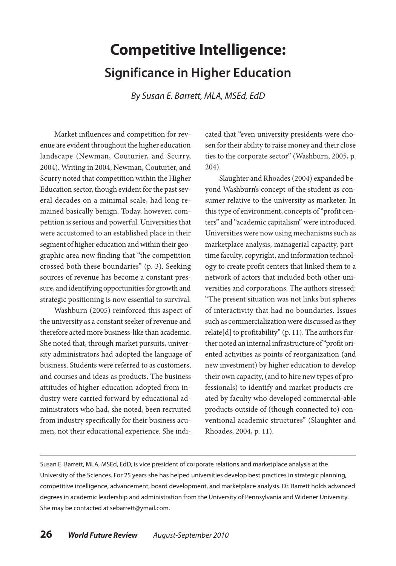# **Competitive Intelligence: Significance in Higher Education**

*By Susan E. Barrett, MLA, MSEd, EdD*

Market influences and competition for revenue are evident throughout the higher education landscape (Newman, Couturier, and Scurry, 2004). Writing in 2004, Newman, Couturier, and Scurry noted that competition within the Higher Education sector, though evident for the past several decades on a minimal scale, had long remained basically benign. Today, however, competition is serious and powerful. Universities that were accustomed to an established place in their segment of higher education and within their geographic area now finding that "the competition crossed both these boundaries" (p. 3). Seeking sources of revenue has become a constant pressure, and identifying opportunities for growth and strategic positioning is now essential to survival.

Washburn (2005) reinforced this aspect of the university as a constant seeker of revenue and therefore acted more business-like than academic. She noted that, through market pursuits, university administrators had adopted the language of business. Students were referred to as customers, and courses and ideas as products. The business attitudes of higher education adopted from industry were carried forward by educational administrators who had, she noted, been recruited from industry specifically for their business acumen, not their educational experience. She indicated that "even university presidents were chosen for their ability to raise money and their close ties to the corporate sector" (Washburn, 2005, p. 204).

Slaughter and Rhoades (2004) expanded beyond Washburn's concept of the student as consumer relative to the university as marketer. In this type of environment, concepts of "profit centers" and "academic capitalism" were introduced. Universities were now using mechanisms such as marketplace analysis, managerial capacity, parttime faculty, copyright, and information technology to create profit centers that linked them to a network of actors that included both other universities and corporations. The authors stressed: "The present situation was not links but spheres of interactivity that had no boundaries. Issues such as commercialization were discussed as they relate[d] to profitability" (p. 11). The authors further noted an internal infrastructure of "profit oriented activities as points of reorganization (and new investment) by higher education to develop their own capacity, (and to hire new types of professionals) to identify and market products created by faculty who developed commercial-able products outside of (though connected to) conventional academic structures" (Slaughter and Rhoades, 2004, p. 11).

Susan E. Barrett, MLA, MSEd, EdD, is vice president of corporate relations and marketplace analysis at the University of the Sciences. For 25 years she has helped universities develop best practices in strategic planning, competitive intelligence, advancement, board development, and marketplace analysis. Dr. Barrett holds advanced degrees in academic leadership and administration from the University of Pennsylvania and Widener University. She may be contacted at sebarrett@ymail.com.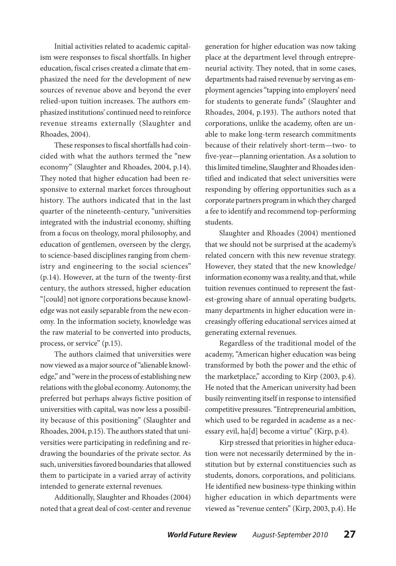Initial activities related to academic capitalism were responses to fiscal shortfalls. In higher education, fiscal crises created a climate that emphasized the need for the development of new sources of revenue above and beyond the ever relied-upon tuition increases. The authors emphasized institutions' continued need to reinforce revenue streams externally (Slaughter and Rhoades, 2004).

These responses to fiscal shortfalls had coincided with what the authors termed the "new economy" (Slaughter and Rhoades, 2004, p.14). They noted that higher education had been responsive to external market forces throughout history. The authors indicated that in the last quarter of the nineteenth-century, "universities integrated with the industrial economy, shifting from a focus on theology, moral philosophy, and education of gentlemen, overseen by the clergy, to science-based disciplines ranging from chemistry and engineering to the social sciences" (p.14). However, at the turn of the twenty-first century, the authors stressed, higher education "[could] not ignore corporations because knowledge was not easily separable from the new economy. In the information society, knowledge was the raw material to be converted into products, process, or service" (p.15).

The authors claimed that universities were now viewed as a major source of "alienable knowledge," and "were in the process of establishing new relations with the global economy. Autonomy, the preferred but perhaps always fictive position of universities with capital, was now less a possibility because of this positioning" (Slaughter and Rhoades, 2004, p.15). The authors stated that universities were participating in redefining and redrawing the boundaries of the private sector. As such, universities favored boundaries that allowed them to participate in a varied array of activity intended to generate external revenues.

Additionally, Slaughter and Rhoades (2004) noted that a great deal of cost-center and revenue

generation for higher education was now taking place at the department level through entrepreneurial activity. They noted, that in some cases, departments had raised revenue by serving as employment agencies "tapping into employers' need for students to generate funds" (Slaughter and Rhoades, 2004, p.193). The authors noted that corporations, unlike the academy, often are unable to make long-term research commitments because of their relatively short-term—two- to five-year—planning orientation. As a solution to this limited timeline, Slaughter and Rhoades identified and indicated that select universities were responding by offering opportunities such as a corporate partners program in which they charged a fee to identify and recommend top-performing students.

Slaughter and Rhoades (2004) mentioned that we should not be surprised at the academy's related concern with this new revenue strategy. However, they stated that the new knowledge/ information economy was a reality, and that, while tuition revenues continued to represent the fastest-growing share of annual operating budgets, many departments in higher education were increasingly offering educational services aimed at generating external revenues.

Regardless of the traditional model of the academy, "American higher education was being transformed by both the power and the ethic of the marketplace," according to Kirp (2003, p.4). He noted that the American university had been busily reinventing itself in response to intensified competitive pressures. "Entrepreneurial ambition, which used to be regarded in academe as a necessary evil, ha[d] become a virtue" (Kirp, p.4).

Kirp stressed that priorities in higher education were not necessarily determined by the institution but by external constituencies such as students, donors, corporations, and politicians. He identified new business-type thinking within higher education in which departments were viewed as "revenue centers" (Kirp, 2003, p.4). He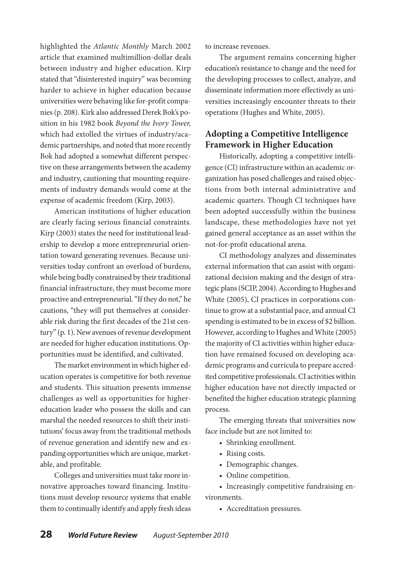highlighted the *Atlantic Monthly* March 2002 article that examined multimillion-dollar deals between industry and higher education. Kirp stated that "disinterested inquiry" was becoming harder to achieve in higher education because universities were behaving like for-profit companies (p. 208). Kirk also addressed Derek Bok's position in his 1982 book *Beyond the Ivory Tower,* which had extolled the virtues of industry/academic partnerships, and noted that more recently Bok had adopted a somewhat different perspective on these arrangements between the academy and industry, cautioning that mounting requirements of industry demands would come at the expense of academic freedom (Kirp, 2003).

American institutions of higher education are clearly facing serious financial constraints. Kirp (2003) states the need for institutional leadership to develop a more entrepreneurial orientation toward generating revenues. Because universities today confront an overload of burdens, while being badly constrained by their traditional financial infrastructure, they must become more proactive and entrepreneurial. "If they do not," he cautions, "they will put themselves at considerable risk during the first decades of the 21st century" (p. 1). New avenues of revenue development are needed for higher education institutions. Opportunities must be identified, and cultivated.

The market environment in which higher education operates is competitive for both revenue and students. This situation presents immense challenges as well as opportunities for highereducation leader who possess the skills and can marshal the needed resources to shift their institutions' focus away from the traditional methods of revenue generation and identify new and expanding opportunities which are unique, marketable, and profitable.

Colleges and universities must take more innovative approaches toward financing. Institutions must develop resource systems that enable them to continually identify and apply fresh ideas to increase revenues.

The argument remains concerning higher education's resistance to change and the need for the developing processes to collect, analyze, and disseminate information more effectively as universities increasingly encounter threats to their operations (Hughes and White, 2005).

# **Adopting a Competitive Intelligence Framework in Higher Education**

Historically, adopting a competitive intelligence (CI) infrastructure within an academic organization has posed challenges and raised objections from both internal administrative and academic quarters. Though CI techniques have been adopted successfully within the business landscape, these methodologies have not yet gained general acceptance as an asset within the not-for-profit educational arena.

CI methodology analyzes and disseminates external information that can assist with organizational decision making and the design of strategic plans (SCIP, 2004). According to Hughes and White (2005), CI practices in corporations continue to grow at a substantial pace, and annual CI spending is estimated to be in excess of \$2 billion. However, according to Hughes and White (2005) the majority of CI activities within higher education have remained focused on developing academic programs and curricula to prepare accredited competitive professionals. CI activities within higher education have not directly impacted or benefited the higher education strategic planning process.

The emerging threats that universities now face include but are not limited to:

- Shrinking enrollment.
- Rising costs.
- Demographic changes.
- Online competition.

• Increasingly competitive fundraising environments.

• Accreditation pressures.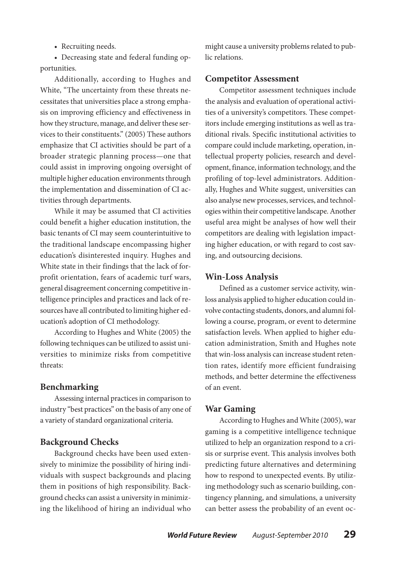• Recruiting needs.

• Decreasing state and federal funding opportunities.

Additionally, according to Hughes and White, "The uncertainty from these threats necessitates that universities place a strong emphasis on improving efficiency and effectiveness in how they structure, manage, and deliver these services to their constituents." (2005) These authors emphasize that CI activities should be part of a broader strategic planning process—one that could assist in improving ongoing oversight of multiple higher education environments through the implementation and dissemination of CI activities through departments.

While it may be assumed that CI activities could benefit a higher education institution, the basic tenants of CI may seem counterintuitive to the traditional landscape encompassing higher education's disinterested inquiry. Hughes and White state in their findings that the lack of forprofit orientation, fears of academic turf wars, general disagreement concerning competitive intelligence principles and practices and lack of resources have all contributed to limiting higher education's adoption of CI methodology.

According to Hughes and White (2005) the following techniques can be utilized to assist universities to minimize risks from competitive threats:

#### **Benchmarking**

Assessing internal practices in comparison to industry "best practices" on the basis of any one of a variety of standard organizational criteria.

### **Background Checks**

Background checks have been used extensively to minimize the possibility of hiring individuals with suspect backgrounds and placing them in positions of high responsibility. Background checks can assist a university in minimizing the likelihood of hiring an individual who might cause a university problems related to public relations.

#### **Competitor Assessment**

Competitor assessment techniques include the analysis and evaluation of operational activities of a university's competitors. These competitors include emerging institutions as well as traditional rivals. Specific institutional activities to compare could include marketing, operation, intellectual property policies, research and development, finance, information technology, and the profiling of top-level administrators. Additionally, Hughes and White suggest, universities can also analyse new processes, services, and technologies within their competitive landscape. Another useful area might be analyses of how well their competitors are dealing with legislation impacting higher education, or with regard to cost saving, and outsourcing decisions.

# **Win-Loss Analysis**

Defined as a customer service activity, winloss analysis applied to higher education could involve contacting students, donors, and alumni following a course, program, or event to determine satisfaction levels. When applied to higher education administration, Smith and Hughes note that win-loss analysis can increase student retention rates, identify more efficient fundraising methods, and better determine the effectiveness of an event.

#### **War Gaming**

According to Hughes and White (2005), war gaming is a competitive intelligence technique utilized to help an organization respond to a crisis or surprise event. This analysis involves both predicting future alternatives and determining how to respond to unexpected events. By utilizing methodology such as scenario building, contingency planning, and simulations, a university can better assess the probability of an event oc